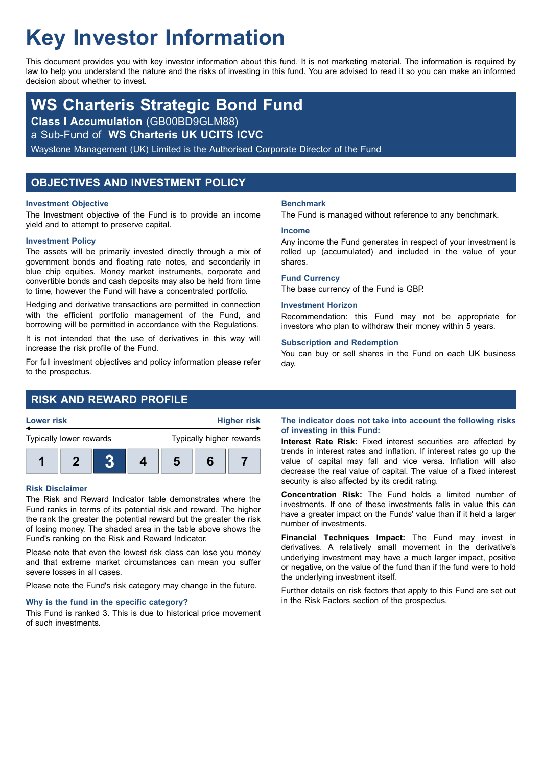# **Key Investor Information**

This document provides you with key investor information about this fund. It is not marketing material. The information is required by law to help you understand the nature and the risks of investing in this fund. You are advised to read it so you can make an informed decision about whether to invest.

## **WS Charteris Strategic Bond Fund**

**Class I Accumulation** (GB00BD9GLM88)

a Sub-Fund of **WS Charteris UK UCITS ICVC**

Waystone Management (UK) Limited is the Authorised Corporate Director of the Fund

## **OBJECTIVES AND INVESTMENT POLICY**

#### **Investment Objective**

The Investment objective of the Fund is to provide an income yield and to attempt to preserve capital.

#### **Investment Policy**

The assets will be primarily invested directly through a mix of government bonds and floating rate notes, and secondarily in blue chip equities. Money market instruments, corporate and convertible bonds and cash deposits may also be held from time to time, however the Fund will have a concentrated portfolio.

Hedging and derivative transactions are permitted in connection with the efficient portfolio management of the Fund, and borrowing will be permitted in accordance with the Regulations.

It is not intended that the use of derivatives in this way will increase the risk profile of the Fund.

For full investment objectives and policy information please refer to the prospectus.

## **RISK AND REWARD PROFILE**



#### **Risk Disclaimer**

The Risk and Reward Indicator table demonstrates where the Fund ranks in terms of its potential risk and reward. The higher the rank the greater the potential reward but the greater the risk of losing money. The shaded area in the table above shows the Fund's ranking on the Risk and Reward Indicator.

Please note that even the lowest risk class can lose you money and that extreme market circumstances can mean you suffer severe losses in all cases.

Please note the Fund's risk category may change in the future.

#### **Why is the fund in the specific category?**

This Fund is ranked 3. This is due to historical price movement of such investments.

#### **Benchmark**

The Fund is managed without reference to any benchmark.

#### **Income**

Any income the Fund generates in respect of your investment is rolled up (accumulated) and included in the value of your shares.

#### **Fund Currency**

The base currency of the Fund is GBP.

#### **Investment Horizon**

Recommendation: this Fund may not be appropriate for investors who plan to withdraw their money within 5 years.

#### **Subscription and Redemption**

You can buy or sell shares in the Fund on each UK business day.

#### **The indicator does not take into account the following risks of investing in this Fund:**

**Interest Rate Risk:** Fixed interest securities are affected by trends in interest rates and inflation. If interest rates go up the value of capital may fall and vice versa. Inflation will also decrease the real value of capital. The value of a fixed interest security is also affected by its credit rating.

**Concentration Risk:** The Fund holds a limited number of investments. If one of these investments falls in value this can have a greater impact on the Funds' value than if it held a larger number of investments.

**Financial Techniques Impact:** The Fund may invest in derivatives. A relatively small movement in the derivative's underlying investment may have a much larger impact, positive or negative, on the value of the fund than if the fund were to hold the underlying investment itself.

Further details on risk factors that apply to this Fund are set out in the Risk Factors section of the prospectus.